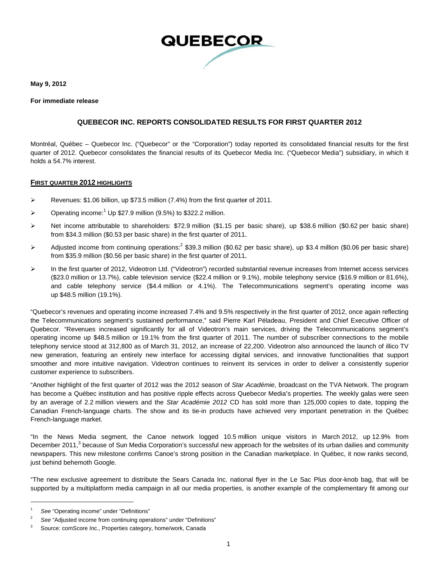

**May y 9, 2012** 

### **For r immediate re elease**

# **Q QUEBECOR I NC. REPORT TS CONSOLI IDATED RES SULTS FOR F FIRST QUAR RTER 2012**

Montréal, Québec – Quebecor Inc. ("Quebecor" or the "Corporation") today reported its consolidated financial results for the first quarter of 2012. Quebecor consolidates the financial results of its Quebecor Media Inc. ("Quebecor Media") subsidiary, in which it holds a 54.7% interest.

### **FIRST QUARTER 2012 HIGHLIGHTS**

- ¾ Revenues: \$1.06 billion, up \$73.5 million (7.4%) from the first quarter of 2011.
- ¾ Operating income:<sup>1</sup> Up \$27.9 million (9.5%) to \$322.2 million.
- ¾ Net income attributable to shareholders: \$72.9 million (\$1.15 per basic share), up \$38.6 million (\$0.62 per basic share) from \$34.3 million (\$0.53 per basic share) in the first quarter of 2011.
- $\triangleright$ Adjusted income from continuing operations:<sup>2</sup> \$39.3 million (\$0.62 per basic share), up \$3.4 million (\$0.06 per basic share) from \$35.9 million (\$0.56 per basic share) in the first quarter of 2011.
- ¾ from \$35.9 million (\$0.56 per basic share) in the first quarter of 2011.<br>In the first quarter of 2012, Videotron Ltd. ("Videotron") recorded substantial revenue increases from Internet access services (\$23.0 million or 13.7%), cable television service (\$22.4 million or 9.1%), mobile telephony service (\$16.9 million or 81.6%), and cable telephony service (\$4.4 million or 4.1%). The Telecommunications segment's operating income was up \$48.5 m million (19.1%).

"Quebecor's revenues and operating income increased 7.4% and 9.5% respectively in the first quarter of 2012, once again reflecting the Telecommunications segment's sustained performance," said Pierre Karl Péladeau, President and Chief Executive Officer of Quebecor. "Revenues increased significantly for all of Videotron's main services, driving the Telecommunications segment's operating income up \$48.5 million or 19.1% from the first quarter of 2011. The number of subscriber connections to the mobile telephony service stood at 312,800 as of March 31, 2012, an increase of 22,200. Videotron also announced the launch of illico TV new generation, featuring an entirely new interface for accessing digital services, and innovative functionalities that support smoother and more intuitive navigation. Videotron continues to reinvent its services in order to deliver a consistently superior customer experience to subscribers.

"Another highlight of the first quarter of 2012 was the 2012 season of *Star Académie*, broadcast on the TVA Network. The program has become a Québec institution and has positive ripple effects across Quebecor Media's properties. The weekly galas were seen by an average of 2.2 million viewers and the Star Académie 2012 CD has sold more than 125,000 copies to date, topping the Canadian French-language charts. The show and its tie-in products have achieved very important penetration in the Québec French-language market.

"In the News Media segment, the Canoe network logged 10.5 million unique visitors in March 2012, up 12.9% from December 2011,<sup>3</sup> because of Sun Media Corporation's successful new approach for the websites of its urban dailies and community newspapers. This new milestone confirms Canoe's strong position in the Canadian marketplace. In Québec, it now ranks second, just behind behemoth Google.

"The new exclusive agreement to distribute the Sears Canada Inc. national flyer in the Le Sac Plus door-knob bag, that will be supported by a multiplatform media campaign in all our media properties, is another example of the complementary fit among our

 $\overline{a}$ 

<u>.</u>

 $\overline{a}$ 

 $\overline{a}$ 

<sup>1</sup> See "Operating income" under "Definitions"

<sup>2</sup> See "Adjusted income from continuing operations" under "Definitions"

<sup>&</sup>lt;sup>3</sup> Source: comScore Inc., Properties category, home/work, Canada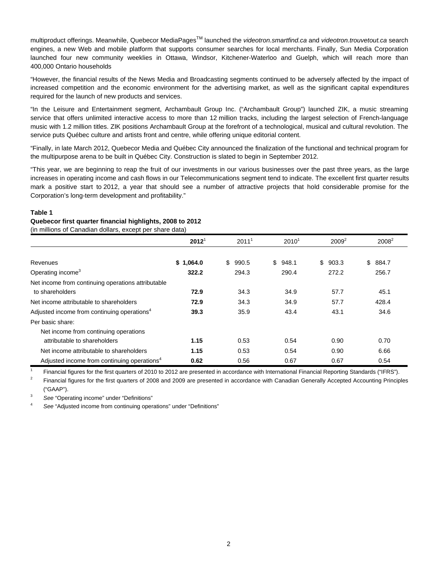multiproduct offerings. Meanwhile, Quebecor MediaPagesTM launched the *videotron.smartfind.ca* and *videotron.trouvetout.ca* search engines, a new Web and mobile platform that supports consumer searches for local merchants. Finally, Sun Media Corporation launched four new community weeklies in Ottawa, Windsor, Kitchener-Waterloo and Guelph, which will reach more than 400,000 Ontario households

"However, the financial results of the News Media and Broadcasting segments continued to be adversely affected by the impact of increased competition and the economic environment for the advertising market, as well as the significant capital expenditures required for the launch of new products and services.

"In the Leisure and Entertainment segment, Archambault Group Inc. ("Archambault Group") launched ZIK, a music streaming service that offers unlimited interactive access to more than 12 million tracks, including the largest selection of French-language music with 1.2 million titles. ZIK positions Archambault Group at the forefront of a technological, musical and cultural revolution. The service puts Québec culture and artists front and centre, while offering unique editorial content.

"Finally, in late March 2012, Quebecor Media and Québec City announced the finalization of the functional and technical program for the multipurpose arena to be built in Québec City. Construction is slated to begin in September 2012.

"This year, we are beginning to reap the fruit of our investments in our various businesses over the past three years, as the large increases in operating income and cash flows in our Telecommunications segment tend to indicate. The excellent first quarter results mark a positive start to 2012, a year that should see a number of attractive projects that hold considerable promise for the Corporation's long-term development and profitability."

# **Table 1 Quebecor first quarter financial highlights, 2008 to 2012**

(in millions of Canadian dollars, except per share data)

|                                                         | 2012 <sup>1</sup> | 2011 <sup>1</sup> | $2010^1$ | $2009^2$    | $2008^2$    |
|---------------------------------------------------------|-------------------|-------------------|----------|-------------|-------------|
|                                                         |                   |                   |          |             |             |
| Revenues                                                | \$1,064.0         | 990.5<br>\$       | \$948.1  | \$<br>903.3 | \$<br>884.7 |
| Operating income <sup>3</sup>                           | 322.2             | 294.3             | 290.4    | 272.2       | 256.7       |
| Net income from continuing operations attributable      |                   |                   |          |             |             |
| to shareholders                                         | 72.9              | 34.3              | 34.9     | 57.7        | 45.1        |
| Net income attributable to shareholders                 | 72.9              | 34.3              | 34.9     | 57.7        | 428.4       |
| Adjusted income from continuing operations <sup>4</sup> | 39.3              | 35.9              | 43.4     | 43.1        | 34.6        |
| Per basic share:                                        |                   |                   |          |             |             |
| Net income from continuing operations                   |                   |                   |          |             |             |
| attributable to shareholders                            | 1.15              | 0.53              | 0.54     | 0.90        | 0.70        |
| Net income attributable to shareholders                 | 1.15              | 0.53              | 0.54     | 0.90        | 6.66        |
| Adjusted income from continuing operations <sup>4</sup> | 0.62              | 0.56              | 0.67     | 0.67        | 0.54        |

1 <sup>1</sup> Financial figures for the first quarters of 2010 to 2012 are presented in accordance with International Financial Reporting Standards ("IFRS").

Financial figures for the first quarters of 2008 and 2009 are presented in accordance with Canadian Generally Accepted Accounting Principles

("GAAP"). 3 *See* "Operating income" under "Definitions"

<sup>4</sup> *See* "Adjusted income from continuing operations" under "Definitions"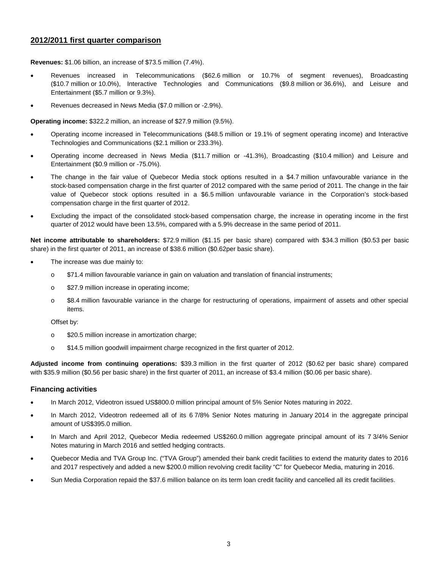# **2012/2011 first quarter comparison**

**Revenues:** \$1.06 billion, an increase of \$73.5 million (7.4%).

- Revenues increased in Telecommunications (\$62.6 million or 10.7% of segment revenues), Broadcasting (\$10.7 million or 10.0%), Interactive Technologies and Communications (\$9.8 million or 36.6%), and Leisure and Entertainment (\$5.7 million or 9.3%).
- Revenues decreased in News Media (\$7.0 million or -2.9%).

**Operating income:** \$322.2 million, an increase of \$27.9 million (9.5%).

- Operating income increased in Telecommunications (\$48.5 million or 19.1% of segment operating income) and Interactive Technologies and Communications (\$2.1 million or 233.3%).
- Operating income decreased in News Media (\$11.7 million or -41.3%), Broadcasting (\$10.4 million) and Leisure and Entertainment (\$0.9 million or -75.0%).
- The change in the fair value of Quebecor Media stock options resulted in a \$4.7 million unfavourable variance in the stock-based compensation charge in the first quarter of 2012 compared with the same period of 2011. The change in the fair value of Quebecor stock options resulted in a \$6.5 million unfavourable variance in the Corporation's stock-based compensation charge in the first quarter of 2012.
- Excluding the impact of the consolidated stock-based compensation charge, the increase in operating income in the first quarter of 2012 would have been 13.5%, compared with a 5.9% decrease in the same period of 2011.

**Net income attributable to shareholders:** \$72.9 million (\$1.15 per basic share) compared with \$34.3 million (\$0.53 per basic share) in the first quarter of 2011, an increase of \$38.6 million (\$0.62per basic share).

- The increase was due mainly to:
	- o \$71.4 million favourable variance in gain on valuation and translation of financial instruments;
	- o \$27.9 million increase in operating income;
	- $\circ$  \$8.4 million favourable variance in the charge for restructuring of operations, impairment of assets and other special items.

Offset by:

- o \$20.5 million increase in amortization charge;
- o \$14.5 million goodwill impairment charge recognized in the first quarter of 2012.

**Adjusted income from continuing operations:** \$39.3 million in the first quarter of 2012 (\$0.62 per basic share) compared with \$35.9 million (\$0.56 per basic share) in the first quarter of 2011, an increase of \$3.4 million (\$0.06 per basic share).

### **Financing activities**

- In March 2012, Videotron issued US\$800.0 million principal amount of 5% Senior Notes maturing in 2022.
- In March 2012, Videotron redeemed all of its 6 7/8% Senior Notes maturing in January 2014 in the aggregate principal amount of US\$395.0 million.
- In March and April 2012, Quebecor Media redeemed US\$260.0 million aggregate principal amount of its 7 3/4% Senior Notes maturing in March 2016 and settled hedging contracts.
- Quebecor Media and TVA Group Inc. ("TVA Group") amended their bank credit facilities to extend the maturity dates to 2016 and 2017 respectively and added a new \$200.0 million revolving credit facility "C" for Quebecor Media, maturing in 2016.
- Sun Media Corporation repaid the \$37.6 million balance on its term loan credit facility and cancelled all its credit facilities.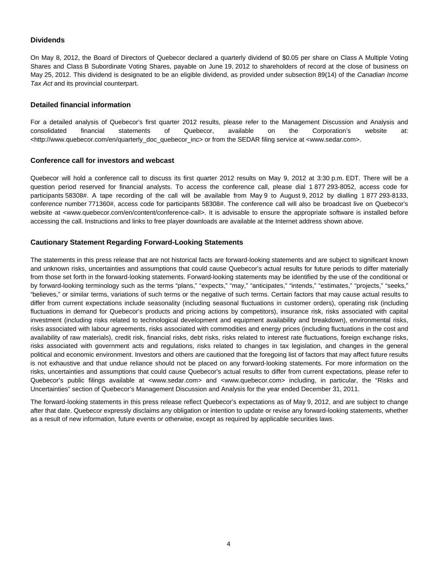## **Dividends**

On May 8, 2012, the Board of Directors of Quebecor declared a quarterly dividend of \$0.05 per share on Class A Multiple Voting Shares and Class B Subordinate Voting Shares, payable on June 19, 2012 to shareholders of record at the close of business on May 25, 2012. This dividend is designated to be an eligible dividend, as provided under subsection 89(14) of the *Canadian Income Tax Act* and its provincial counterpart.

## **Detailed financial information**

For a detailed analysis of Quebecor's first quarter 2012 results, please refer to the Management Discussion and Analysis and consolidated financial statements of Quebecor, available on the Corporation's website at: <http://www.quebecor.com/en/quarterly\_doc\_quebecor\_inc> or from the SEDAR filing service at <www.sedar.com>.

## **Conference call for investors and webcast**

Quebecor will hold a conference call to discuss its first quarter 2012 results on May 9, 2012 at 3:30 p.m. EDT. There will be a question period reserved for financial analysts. To access the conference call, please dial 1 877 293-8052, access code for participants 58308#. A tape recording of the call will be available from May 9 to August 9, 2012 by dialling 1 877 293-8133, conference number 771360#, access code for participants 58308#. The conference call will also be broadcast live on Quebecor's website at <www.quebecor.com/en/content/conference-call>. It is advisable to ensure the appropriate software is installed before accessing the call. Instructions and links to free player downloads are available at the Internet address shown above.

# **Cautionary Statement Regarding Forward-Looking Statements**

The statements in this press release that are not historical facts are forward-looking statements and are subject to significant known and unknown risks, uncertainties and assumptions that could cause Quebecor's actual results for future periods to differ materially from those set forth in the forward-looking statements. Forward-looking statements may be identified by the use of the conditional or by forward-looking terminology such as the terms "plans," "expects," "may," "anticipates," "intends," "estimates," "projects," "seeks," "believes," or similar terms, variations of such terms or the negative of such terms. Certain factors that may cause actual results to differ from current expectations include seasonality (including seasonal fluctuations in customer orders), operating risk (including fluctuations in demand for Quebecor's products and pricing actions by competitors), insurance risk, risks associated with capital investment (including risks related to technological development and equipment availability and breakdown), environmental risks, risks associated with labour agreements, risks associated with commodities and energy prices (including fluctuations in the cost and availability of raw materials), credit risk, financial risks, debt risks, risks related to interest rate fluctuations, foreign exchange risks, risks associated with government acts and regulations, risks related to changes in tax legislation, and changes in the general political and economic environment. Investors and others are cautioned that the foregoing list of factors that may affect future results is not exhaustive and that undue reliance should not be placed on any forward-looking statements. For more information on the risks, uncertainties and assumptions that could cause Quebecor's actual results to differ from current expectations, please refer to Quebecor's public filings available at <www.sedar.com> and <www.quebecor.com> including, in particular, the "Risks and Uncertainties" section of Quebecor's Management Discussion and Analysis for the year ended December 31, 2011.

The forward-looking statements in this press release reflect Quebecor's expectations as of May 9, 2012, and are subject to change after that date. Quebecor expressly disclaims any obligation or intention to update or revise any forward-looking statements, whether as a result of new information, future events or otherwise, except as required by applicable securities laws.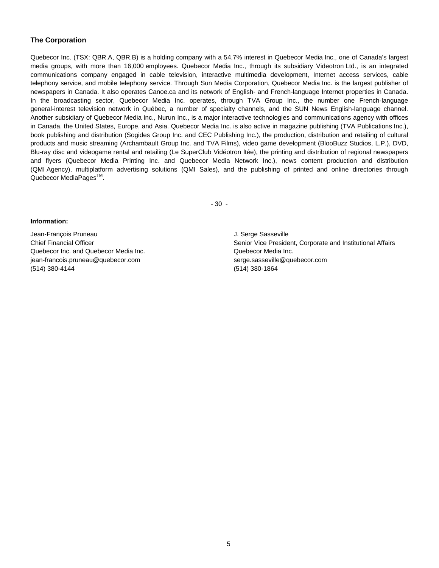## **The Corporation**

Quebecor Inc. (TSX: QBR.A, QBR.B) is a holding company with a 54.7% interest in Quebecor Media Inc., one of Canada's largest media groups, with more than 16,000 employees. Quebecor Media Inc., through its subsidiary Videotron Ltd., is an integrated communications company engaged in cable television, interactive multimedia development, Internet access services, cable telephony service, and mobile telephony service. Through Sun Media Corporation, Quebecor Media Inc. is the largest publisher of newspapers in Canada. It also operates Canoe.ca and its network of English- and French-language Internet properties in Canada. In the broadcasting sector, Quebecor Media Inc. operates, through TVA Group Inc., the number one French-language general-interest television network in Québec, a number of specialty channels, and the SUN News English-language channel. Another subsidiary of Quebecor Media Inc., Nurun Inc., is a major interactive technologies and communications agency with offices in Canada, the United States, Europe, and Asia. Quebecor Media Inc. is also active in magazine publishing (TVA Publications Inc.), book publishing and distribution (Sogides Group Inc. and CEC Publishing Inc.), the production, distribution and retailing of cultural products and music streaming (Archambault Group Inc. and TVA Films), video game development (BlooBuzz Studios, L.P.), DVD, Blu-ray disc and videogame rental and retailing (Le SuperClub Vidéotron ltée), the printing and distribution of regional newspapers and flyers (Quebecor Media Printing Inc. and Quebecor Media Network Inc.), news content production and distribution (QMI Agency), multiplatform advertising solutions (QMI Sales), and the publishing of printed and online directories through Quebecor MediaPages<sup>™</sup>.

- 30 -

#### **Information:**

Jean-François Pruneau J. Serge Sasseville Quebecor Inc. and Quebecor Media Inc. Quebecor Media Inc. jean-francois.pruneau@quebecor.com serge.sasseville@quebecor.com (514) 380-4144 (514) 380-1864

Chief Financial Officer Senior Vice President, Corporate and Institutional Affairs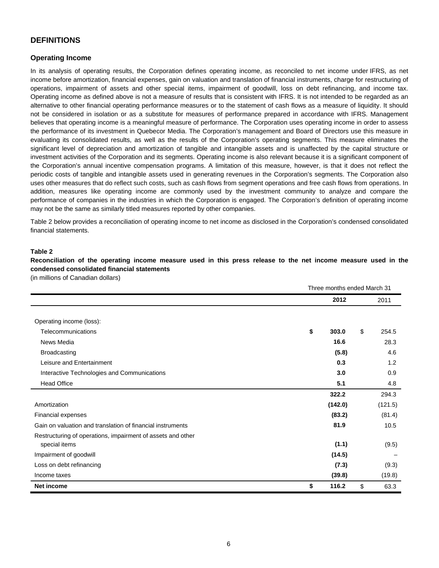# **DEFINITIONS**

### **Operating Income**

In its analysis of operating results, the Corporation defines operating income, as reconciled to net income under IFRS, as net income before amortization, financial expenses, gain on valuation and translation of financial instruments, charge for restructuring of operations, impairment of assets and other special items, impairment of goodwill, loss on debt refinancing, and income tax. Operating income as defined above is not a measure of results that is consistent with IFRS. It is not intended to be regarded as an alternative to other financial operating performance measures or to the statement of cash flows as a measure of liquidity. It should not be considered in isolation or as a substitute for measures of performance prepared in accordance with IFRS. Management believes that operating income is a meaningful measure of performance. The Corporation uses operating income in order to assess the performance of its investment in Quebecor Media. The Corporation's management and Board of Directors use this measure in evaluating its consolidated results, as well as the results of the Corporation's operating segments. This measure eliminates the significant level of depreciation and amortization of tangible and intangible assets and is unaffected by the capital structure or investment activities of the Corporation and its segments. Operating income is also relevant because it is a significant component of the Corporation's annual incentive compensation programs. A limitation of this measure, however, is that it does not reflect the periodic costs of tangible and intangible assets used in generating revenues in the Corporation's segments. The Corporation also uses other measures that do reflect such costs, such as cash flows from segment operations and free cash flows from operations. In addition, measures like operating income are commonly used by the investment community to analyze and compare the performance of companies in the industries in which the Corporation is engaged. The Corporation's definition of operating income may not be the same as similarly titled measures reported by other companies.

Table 2 below provides a reconciliation of operating income to net income as disclosed in the Corporation's condensed consolidated financial statements.

#### **Table 2**

**Reconciliation of the operating income measure used in this press release to the net income measure used in the condensed consolidated financial statements** 

(in millions of Canadian dollars)

|                                                             | Three months ended March 31 |    |         |  |
|-------------------------------------------------------------|-----------------------------|----|---------|--|
|                                                             | 2012                        |    | 2011    |  |
|                                                             |                             |    |         |  |
| Operating income (loss):                                    |                             |    |         |  |
| Telecommunications                                          | \$<br>303.0                 | \$ | 254.5   |  |
| News Media                                                  | 16.6                        |    | 28.3    |  |
| <b>Broadcasting</b>                                         | (5.8)                       |    | 4.6     |  |
| Leisure and Entertainment                                   | 0.3                         |    | 1.2     |  |
| Interactive Technologies and Communications                 | 3.0                         |    | 0.9     |  |
| <b>Head Office</b>                                          | 5.1                         |    | 4.8     |  |
|                                                             | 322.2                       |    | 294.3   |  |
| Amortization                                                | (142.0)                     |    | (121.5) |  |
| Financial expenses                                          | (83.2)                      |    | (81.4)  |  |
| Gain on valuation and translation of financial instruments  | 81.9                        |    | 10.5    |  |
| Restructuring of operations, impairment of assets and other |                             |    |         |  |
| special items                                               | (1.1)                       |    | (9.5)   |  |
| Impairment of goodwill                                      | (14.5)                      |    |         |  |
| Loss on debt refinancing                                    | (7.3)                       |    | (9.3)   |  |
| Income taxes                                                | (39.8)                      |    | (19.8)  |  |
| <b>Net income</b>                                           | \$<br>116.2                 | \$ | 63.3    |  |